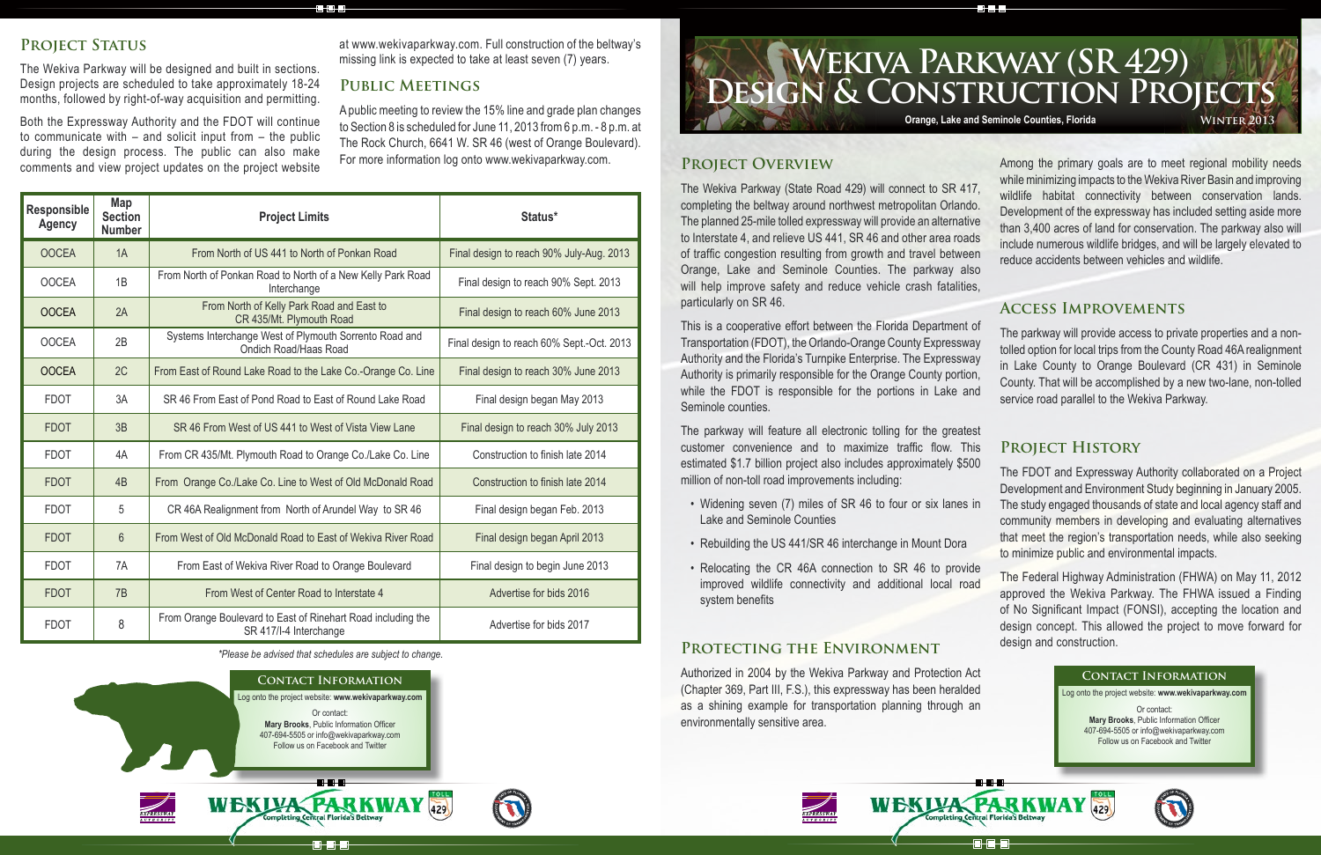The parkway will feature all electronic tolling for the greatest customer convenience and to maximize traffic flow. This estimated \$1.7 billion project also includes approximately \$500 million of non-toll road improvements including:

- Widening seven (7) miles of SR 46 to four or six lanes in Lake and Seminole Counties
- Rebuilding the US 441/SR 46 interchange in Mount Dora
- Relocating the CR 46A connection to SR 46 to provide improved wildlife connectivity and additional local road system benefits

**Project Overview** The Wekiva Parkway (State Road 429) will connect to SR 417, completing the beltway around northwest metropolitan Orlando. The planned 25-mile tolled expressway will provide an alternative to Interstate 4, and relieve US 441, SR 46 and other area roads of traffic congestion resulting from growth and travel between Orange, Lake and Seminole Counties. The parkway also will help improve safety and reduce vehicle crash fatalities, particularly on SR 46. comments and view project updates on the project website For more information log onto www.wekivaparkway.com.<br>
PROJECT OVERVIEW Mong the primary goals are to meet regional mobility needs while minimizing impacts to the Wekiva River Basin and improving wildlife habitat connectivity between conservation lands. Development of the expressway has included setting aside more than 3,400 acres of land for conservation. The parkway also will include numerous wildlife bridges, and will be largely elevated to reduce accidents between vehicles and wildlife.

**CHOHE** 

### **Protecting the Environment**

Authorized in 2004 by the Wekiva Parkway and Protection Act (Chapter 369, Part III, F.S.), this expressway has been heralded as a shining example for transportation planning through an environmentally sensitive area.



# **Design & Construction Projects Wekiva Parkway (SR 429) Orange, Lake and Seminole Counties, Florida WINTER 2013**

This is a cooperative effort between the Florida Department of Transportation (FDOT), the Orlando-Orange County Expressway Authority and the Florida's Turnpike Enterprise. The Expressway Authority is primarily responsible for the Orange County portion, while the FDOT is responsible for the portions in Lake and Seminole counties. The parkway will provide access to private properties and a nontolled option for local trips from the County Road 46A realignment in Lake County to Orange Boulevard (CR 431) in Seminole County. That will be accomplished by a new two-lane, non-tolled service road parallel to the Wekiva Parkway.

### PROJECT STATUS

The Wekiva Parkway will be designed and built in sections. Design projects are scheduled to take approximately 18-24 months, followed by right-of-way acquisition and permitting.

Both the Expressway Authority and the FDOT will continue to communicate with – and solicit input from – the public during the design process. The public can also make

## **Access Improvements**

## **Project History**

The FDOT and Expressway Authority collaborated on a Project Development and Environment Study beginning in January 2005. The study engaged thousands of state and local agency staff and community members in developing and evaluating alternatives that meet the region's transportation needs, while also seeking to minimize public and environmental impacts.

The Federal Highway Administration (FHWA) on May 11, 2012 approved the Wekiva Parkway. The FHWA issued a Finding of No Significant Impact (FONSI), accepting the location and design concept. This allowed the project to move forward for design and construction.

at www.wekivaparkway.com. Full construction of the beltway's missing link is expected to take at least seven (7) years.

### **Public Meetings**

A public meeting to review the 15% line and grade plan changes to Section 8 is scheduled for June 11, 2013 from 6 p.m. - 8 p.m. at The Rock Church, 6641 W. SR 46 (west of Orange Boulevard). For more information log onto www.wekivaparkway.com.

*\*Please be advised that schedules are subject to change.*

### **Contact Information**

Log onto the project website: **www.wekivaparkway.com** Or contact: **Mary Brooks**, Public Information Officer 407-694-5505 or info@wekivaparkway.com Follow us on Facebook and Twitter

in a r

**ala d** 

429

WEKLYA PARKWAY



### **Contact Information**

Log onto the project website: **www.wekivaparkway.com** Or contact:

**Mary Brooks**, Public Information Officer 407-694-5505 or info@wekivaparkway.com Follow us on Facebook and Twitter





| <b>Responsible</b><br><b>Agency</b> | Map<br><b>Section</b><br><b>Number</b> | <b>Project Limits</b>                                                                  | Status*                                   |
|-------------------------------------|----------------------------------------|----------------------------------------------------------------------------------------|-------------------------------------------|
| <b>OOCEA</b>                        | 1A                                     | From North of US 441 to North of Ponkan Road                                           | Final design to reach 90% July-Aug. 2013  |
| <b>OOCEA</b>                        | 1B                                     | From North of Ponkan Road to North of a New Kelly Park Road<br>Interchange             | Final design to reach 90% Sept. 2013      |
| <b>OOCEA</b>                        | 2A                                     | From North of Kelly Park Road and East to<br>CR 435/Mt. Plymouth Road                  | Final design to reach 60% June 2013       |
| <b>OOCEA</b>                        | 2B                                     | Systems Interchange West of Plymouth Sorrento Road and<br><b>Ondich Road/Haas Road</b> | Final design to reach 60% Sept.-Oct. 2013 |
| <b>OOCEA</b>                        | 2C                                     | From East of Round Lake Road to the Lake Co.-Orange Co. Line                           | Final design to reach 30% June 2013       |
| <b>FDOT</b>                         | 3A                                     | SR 46 From East of Pond Road to East of Round Lake Road                                | Final design began May 2013               |
| <b>FDOT</b>                         | 3B                                     | SR 46 From West of US 441 to West of Vista View Lane                                   | Final design to reach 30% July 2013       |
| <b>FDOT</b>                         | 4A                                     | From CR 435/Mt. Plymouth Road to Orange Co./Lake Co. Line                              | Construction to finish late 2014          |
| <b>FDOT</b>                         | 4B                                     | From Orange Co./Lake Co. Line to West of Old McDonald Road                             | Construction to finish late 2014          |
| <b>FDOT</b>                         | 5                                      | CR 46A Realignment from North of Arundel Way to SR 46                                  | Final design began Feb. 2013              |
| <b>FDOT</b>                         | $6\phantom{1}$                         | From West of Old McDonald Road to East of Wekiva River Road                            | Final design began April 2013             |
| <b>FDOT</b>                         | 7A                                     | From East of Wekiva River Road to Orange Boulevard                                     | Final design to begin June 2013           |
| <b>FDOT</b>                         | 7B                                     | From West of Center Road to Interstate 4                                               | Advertise for bids 2016                   |
| <b>FDOT</b>                         | 8                                      | From Orange Boulevard to East of Rinehart Road including the<br>SR 417/I-4 Interchange | Advertise for bids 2017                   |

8.8.8